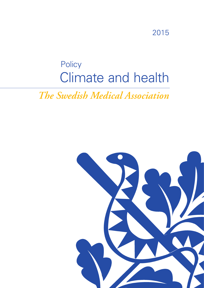# 2015

# Climate and health **Policy**

*The Swedish Medical Association*

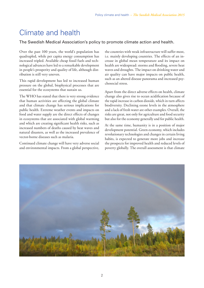# Climate and health

### The Swedish Medical Association's policy to promote climate action and health.

Over the past 100 years, the world's population has quadrupled, while per capita energy consumption has increased tripled. Available cheap fossil fuels and technological advances have led to a remarkable development in people's prosperity and quality of life, although distribution is still very uneven.

This rapid development has led to increased human pressure on the global, biophysical processes that are essential for the ecosystems that sustain us.

The WHO has stated that there is very strong evidence that human activities are affecting the global climate and that climate change has serious implications for public health. Extreme weather events and impacts on food and water supply are the direct effects of changes in ecosystems that are associated with global warming and which are creating significant health risks, such as increased numbers of deaths caused by heat waves and natural disasters, as well as the increased prevalence of vector-borne diseases such as malaria.

Continued climate change will have very adverse social and environmental impacts. From a global perspective,

the countries with weak infrastructure will suffer most, i.e. mainly developing countries. The effects of an increase in global mean temperature and its impact on health are widespread: storms and flooding, severe heat waves and droughts. The impact on drinking water and air quality can have major impacts on public health, such as an altered disease panorama and increased psychosocial stress.

Apart from the direct adverse effects on health, climate change also gives rise to ocean acidification because of the rapid increase in carbon dioxide, which in turn affects biodiversity. Declining ozone levels in the atmosphere and a lack of fresh water are other examples. Overall, the risks are great, not only for agriculture and food security but also for the economy generally and for public health.

At the same time, humanity is in a position of major development potential. Green economy, which includes revolutionary technologies and changes in certain living habits, is expected to generate more jobs and increase the prospects for improved health and reduced levels of poverty globally. The overall assessment is that climate

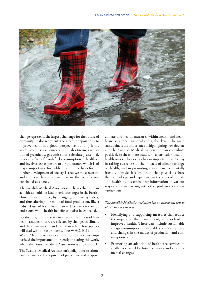

change represents the largest challenge for the future of humanity. It also represents the greatest opportunity to improve health in a global perspective, but only if the world's countries act quickly. In the short-term, a reduction of greenhouse gas emissions is absolutely essential. A society free of fossil-fuel consumption is healthier and involves less exposure to air pollutants, which is of major importance for public health. The basis for the further development of society is that we must nurture and conserve the ecosystems that are the basis for our continued existence.

The Swedish Medical Association believes that human activities should not lead to serious changes in the Earth's climate. For example, by changing our eating habits, and thus altering our mode of food production, like a reduced use of fossil fuels, can reduce carbon dioxide emissions, while health benefits can also be expected.

For doctors, it is necessary to increase awareness of how health and healthcare are affected by changes in climate and the environment, and to find its role in how society will deal with these problems. The WHO, EU and the World Medical Association have for many years emphasized the importance of urgently initiating this work, where the British Medical Association is a role model.

The Swedish Medical Association's policy aims to stimulate the further development of preventive and adaptive climate and health measures within health and healthcare on a local, national and global level. The main standpoint is the importance of highlighting how doctors and the Swedish Medical Association can contribute positively to the climate issue, with a particular focus on health issues. The doctors has an important role to play in raising awareness of the impacts of climate change on health, and in promoting a more environmentally friendly lifestyle. It is important that physicians share their knowledge and experience in the areas of climate and health by disseminating information in various ways and by interacting with other professions and organizations.

#### *The Swedish Medical Association has an important role to play when it comes to:*

- Identifying and supporting measures that reduce the impact on the environment, yet also lead to improved health. These can include sustainable energy consumption, sustainable transport systems and changes in the modes of production and consumption of food.
- Promoting an adaption of healthcare services to challenges raised by future climate- and environmental changes.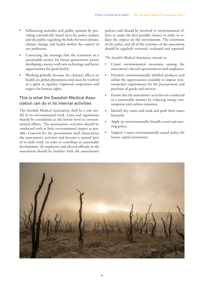- Influencing attitudes and public opinion by providing scientifically based facts for policy makers and the public regarding the links between climate, climate change and health within the context of our profession.
- Conveying the message that the transition to a sustainable society for future generations means developing a society with new technology and better opportunities for good health.
- Working globally, because the climate's effects on health are global phenomena and must be resolved in a spirit of equality, improved cooperation and respect for human rights*.*

# This is what the Swedish Medical Association can do in its internal activities

The Swedish Medical Association shall be a role model in its environmental work. Laws and regulations should be considered as the lowest level in environmental efforts. The association's activities should be conducted with as little environmental impact as possible. Concern for the environment shall characterize the association's activities and become a natural part of its daily work. In order to contribute to sustainable development, all employees and elected officials in the association should be familiar with the association's policies and should be involved in environmental efforts to make the best possible choices in order to reduce the impact on the environment. The intentions of the policy and all of the activities of the association should be regularly reviewed, evaluated and reported.

#### *The Swedish Medical Association intends to:*

- Create environmental awareness among the association's elected representatives and employees.
- • Prioritize environmentally labelled products and utilise the opportunities available to impose environmental requirements for the procurement and purchase of goods and services.
- Ensure that the association's activities are conducted in a sustainable manner by reducing energy consumption and carbon emissions.
- Identify key issues and work and push these issues forwards.
- Apply an environmentally friendly travel and meeting policy.
- Support a more environmentally sound policy for future capital investment.

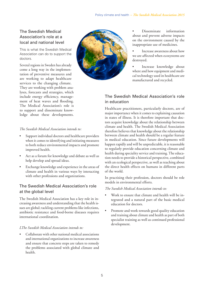# The Swedish Medical Association's role at a local and national level

This is what the Swedish Medical Association can do to support the doctors.

Several regions in Sweden has already come a long way in the implementation of preventive measures and are working to adapt healthcare services to the changing climate. They are working with problem analyses, forecasts and strategies, which include energy efficiency, management of heat waves and flooding. The Medical Association's role is to support and disseminate knowledge about these developments.

#### *The Swedish Medical Association intends to:*

- Support individual doctors and healthcare providers when it comes to identifying and initiating measures to both reduce environmental impacts and promote improved health.
- Act as a forum for knowledge and debate as well as help develop and spread ideas.
- Exchange knowledge and experience in the areas of climate and health in various ways by interacting with other professions and organizations.

## The Swedish Medical Association's role at the global level

The Swedish Medical Association has a key role in increasing awareness and understanding that the health issues are global; tackling current problems like infections, antibiotic resistance and food-borne diseases requires international coordination.

#### *LThe Swedish Medical Association intends to:*

Collaborate with other national medical associations and international organizations to increase awareness and ensure that concrete steps are taken to remedy the problems associated with global climate and health.



Disseminate information about and prevent adverse impacts on the environment caused by the inappropriate use of medicines.

Increase awareness about how we are affected when ecosystems are destroyed.

Increase knowledge about where and how equipment and medical technology used in healthcare are manufactured and recycled.

## The Swedish Medical Association's role in education

Healthcare practitioners, particularly doctors, are of major importance when it comes to explaining causation in states of illness. It is therefore important that doctors acquire knowledge about the relationship between climate and health. The Swedish Medical Association therefore believes that knowledge about the relationship between climate and health should be a regular feature in medical education. Since future developments will happen rapidly and will be unpredictable, it is reasonable to regularly provide education concerning climate and health during speciality service and training. The education needs to provide a historical perspective, combined with an ecological perspective, as well as teaching about the direct health effects on humans in different parts of the world.

In practising their profession, doctors should be role models in environmental efforts.

*The Swedish Medical Association intends to:*

- Work to ensure that climate and health will be integrated and a natural part of the basic medical education for doctors.
- Promote and work towards good quality education and training about climate and health as part of both specialist training as well as continued professional development.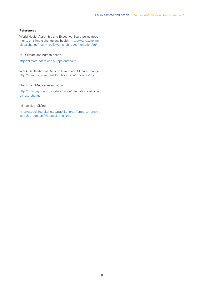#### **References**

World Health Assembly and Executive Board policy documents on climate change and health: http://www.who.int/ globalchange/health\_policy/wha\_eb\_documentation/en/

EU: Climate and human health

http://climate-adapt.eea.europa.eu/health

WMA Declaration of Delhi on Health and Climate Change http://www.wma.net/en/30publications/10policies/c5/

The British Medical Association

http://bma.org.uk/working-for-change/international-affairs/ climate-change

Klimatsäkrat Skåne

http://utveckling.skane.se/publikationer/rapporter-analyseroch-prognoser/klimatsakrat-skane/